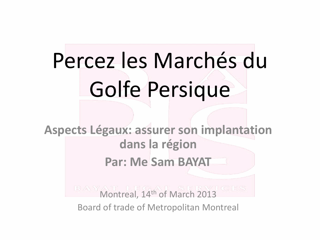# Percez les Marchés du Golfe Persique

**Aspects Légaux: assurer son implantation dans la région Par: Me Sam BAYAT**

> **Montreal, 14th of March 2013** Board of trade of Metropolitan Montreal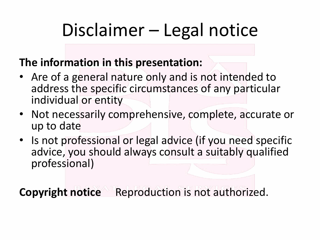### Disclaimer – Legal notice

#### **The information in this presentation:**

- Are of a general nature only and is not intended to address the specific circumstances of any particular individual or entity
- Not necessarily comprehensive, complete, accurate or up to date
- Is not professional or legal advice (if you need specific advice, you should always consult a suitably qualified professional)

**Copyright notice** Reproduction is not authorized.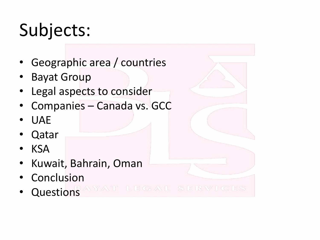### Subjects:

- Geographic area / countries
- **Bayat Group**
- Legal aspects to consider
- Companies Canada vs. GCC
- UAE
- Qatar
- KSA
- Kuwait, Bahrain, Oman
- **Conclusion**
- Questions AVAT LEGAL SERVICES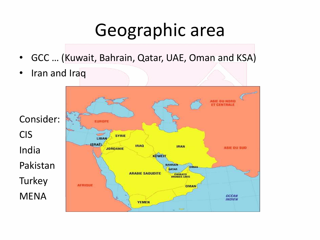#### Geographic area

- GCC … (Kuwait, Bahrain, Qatar, UAE, Oman and KSA)
- Iran and Iraq

CIS

India

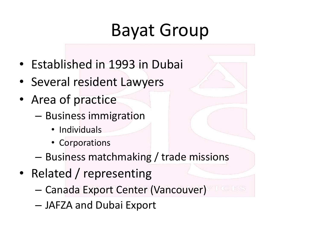#### Bayat Group

- Established in 1993 in Dubai
- Several resident Lawyers
- Area of practice
	- Business immigration
		- Individuals
		- Corporations
	- Business matchmaking / trade missions
- Related / representing
	- Canada Export Center (Vancouver)
	- JAFZA and Dubai Export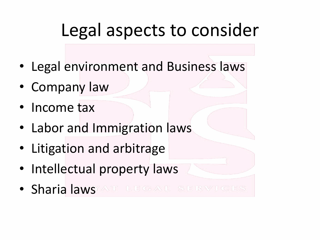#### Legal aspects to consider

- Legal environment and Business laws
- Company law
- Income tax
- Labor and Immigration laws
- Litigation and arbitrage
- Intellectual property laws
- Sharia laws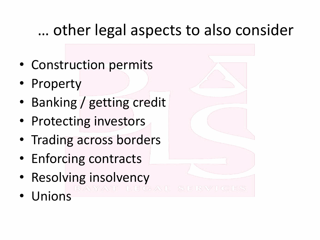#### … other legal aspects to also consider

- Construction permits
- Property
- Banking / getting credit
- Protecting investors
- Trading across borders
- Enforcing contracts
- Resolving insolvency<br>
In the service of the service of the service of the service of the service of the service of the service of the service of the service of the service of the service of the service of the service of
- Unions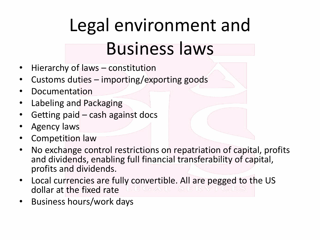## Legal environment and Business laws

- Hierarchy of laws constitution
- Customs duties importing/exporting goods
- **Documentation**
- Labeling and Packaging
- Getting paid  $-$  cash against docs
- Agency laws
- Competition law
- No exchange control restrictions on repatriation of capital, profits and dividends, enabling full financial transferability of capital, profits and dividends.
- Local currencies are fully convertible. All are pegged to the US dollar at the fixed rate
- Business hours/work days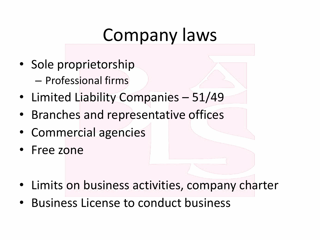#### Company laws

- Sole proprietorship
	- Professional firms
- Limited Liability Companies 51/49
- Branches and representative offices
- Commercial agencies
- Free zone
- Limits on business activities, company charter
- Business License to conduct business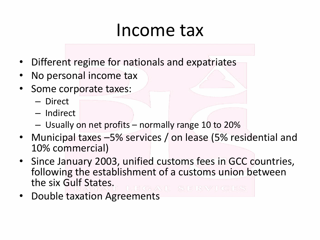#### Income tax

- Different regime for nationals and expatriates
- No personal income tax
- Some corporate taxes:
	- Direct
	- Indirect
	- Usually on net profits normally range 10 to 20%
- Municipal taxes -5% services / on lease (5% residential and 10% commercial)
- Since January 2003, unified customs fees in GCC countries, following the establishment of a customs union between the six Gulf States.
- Double taxation Agreements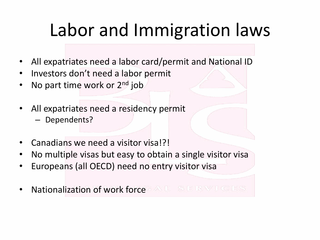### Labor and Immigration laws

- All expatriates need a labor card/permit and National ID
- Investors don't need a labor permit
- No part time work or 2<sup>nd</sup> job
- All expatriates need a residency permit
	- Dependents?
- Canadians we need a visitor visa!?!
- No multiple visas but easy to obtain a single visitor visa
- Europeans (all OECD) need no entry visitor visa
- Nationalization of work force AL SERVICES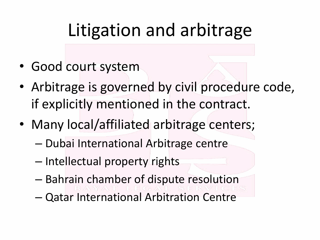#### Litigation and arbitrage

- Good court system
- Arbitrage is governed by civil procedure code, if explicitly mentioned in the contract.
- Many local/affiliated arbitrage centers;
	- Dubai International Arbitrage centre
	- Intellectual property rights
	- Bahrain chamber of dispute resolution
	- Qatar International Arbitration Centre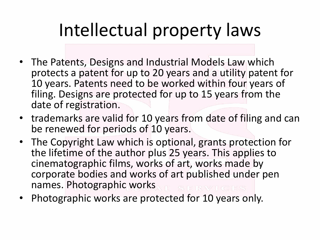### Intellectual property laws

- The Patents, Designs and Industrial Models Law which protects a patent for up to 20 years and a utility patent for 10 years. Patents need to be worked within four years of filing. Designs are protected for up to 15 years from the date of registration.
- trademarks are valid for 10 years from date of filing and can be renewed for periods of 10 years.
- The Copyright Law which is optional, grants protection for the lifetime of the author plus 25 years. This applies to cinematographic films, works of art, works made by corporate bodies and works of art published under pen names. Photographic works
- Photographic works are protected for 10 years only.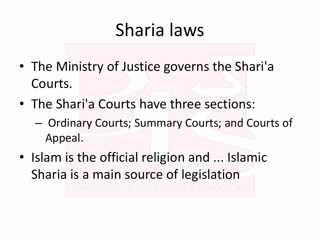#### Sharia laws

- The Ministry of Justice governs the Shari'a Courts.
- The Shari'a Courts have three sections:
	- Ordinary Courts; Summary Courts; and Courts of Appeal.
- Islam is the official religion and ... Islamic Sharia is a main source of legislation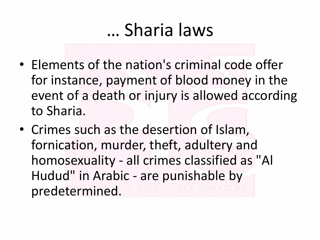#### … Sharia laws

- Elements of the nation's criminal code offer for instance, payment of blood money in the event of a death or injury is allowed according to Sharia.
- Crimes such as the desertion of Islam, fornication, murder, theft, adultery and homosexuality - all crimes classified as "Al Hudud" in Arabic - are punishable by predetermined.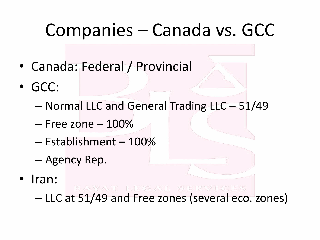#### Companies – Canada vs. GCC

- Canada: Federal / Provincial
- GCC:
	- Normal LLC and General Trading LLC 51/49
	- Free zone 100%
	- Establishment 100%
	- Agency Rep.
- Iran: – LLC at 51/49 and Free zones (several eco. zones)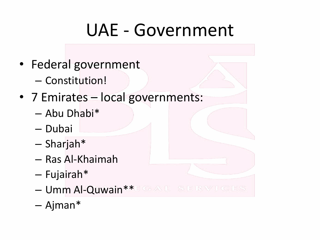#### UAE - Government

- Federal government
	- Constitution!
- 7 Emirates local governments:
	- Abu Dhabi\*
	- Dubai
	- Sharjah\*
	- Ras Al-Khaimah
	- Fujairah\*
	- Umm Al-Quwain \*\* EGAL SERVICES
	- Ajman\*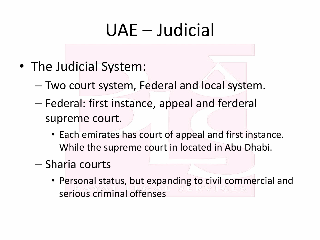#### UAE – Judicial

- The Judicial System:
	- Two court system, Federal and local system.
	- Federal: first instance, appeal and ferderal supreme court.
		- Each emirates has court of appeal and first instance. While the supreme court in located in Abu Dhabi.
	- Sharia courts
		- Personal status, but expanding to civil commercial and serious criminal offenses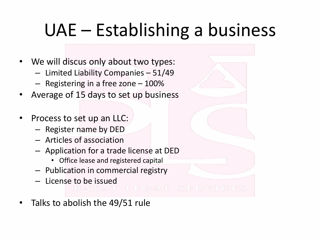### UAE – Establishing a business

- We will discus only about two types:
	- Limited Liability Companies 51/49
	- Registering in a free zone 100%
- Average of 15 days to set up business
- Process to set up an LLC:
	- Register name by DED
	- Articles of association
	- Application for a trade license at DED
		- Office lease and registered capital
	- Publication in commercial registry
	-

#### – License to be issued<br>BAWATTEGALSERVICES

Talks to abolish the 49/51 rule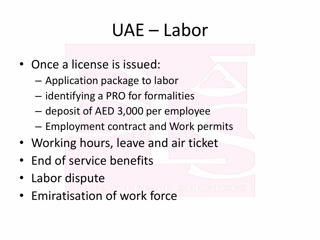### UAE – Labor

- Once a license is issued:
	- Application package to labor
	- identifying a PRO for formalities
	- deposit of AED 3,000 per employee
	- Employment contract and Work permits
- Working hours, leave and air ticket
- End of service benefits
- Labor dispute
- Emiratisation of work force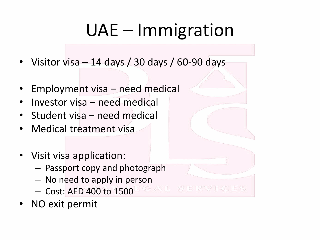### UAE – Immigration

- Visitor visa 14 days / 30 days / 60-90 days
- Employment visa need medical
- Investor visa need medical
- Student visa need medical
- Medical treatment visa
- Visit visa application:
	- Passport copy and photograph
	- No need to apply in person
	- Cost: AED 400 to 1500
- NO exit permit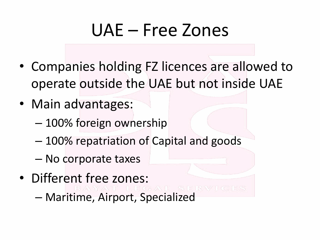#### UAE – Free Zones

- Companies holding FZ licences are allowed to operate outside the UAE but not inside UAE
- Main advantages:
	- 100% foreign ownership
	- 100% repatriation of Capital and goods
	- No corporate taxes
- Different free zones: – Maritime, Airport, Specialized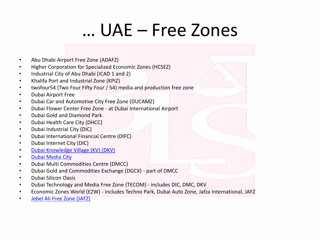#### … UAE – Free Zones

- Abu Dhabi Airport Free Zone (ADAFZ)
- Higher Corporation for Specialized Economic Zones (HCSEZ)
- Industrial City of Abu Dhabi (ICAD 1 and 2)
- Khalifa Port and Industrial Zone (KPIZ)
- twofour54 (Two Four Fifty Four / 54) media and production free zone
- Dubai Airport Free
- Dubai Car and Automotive City Free Zone (DUCAMZ)
- Dubai Flower Center Free Zone at Dubai International Airport
- Dubai Gold and Diamond Park
- Dubai Health Care City (DHCC)
- Dubai Industrial City (DIC)
- Dubai International Financial Centre (DIFC)
- Dubai Internet City (DIC)
- [Dubai Knowledge Village \(KV\) \(DKV\)](http://www.dubaifaqs.com/dubai-knowledge-village.php)
- [Dubai Media City](http://www.dubaifaqs.com/dubai-media-city.php)
- Dubai Multi Commodities Centre (DMCC)
- Dubai Gold and Commodities Exchange (DGCX) part of DMCC
- Dubai Silicon Oasis
- Dubai Technology and Media Free Zone (TECOM) includes DIC, DMC, DKV
- Economic Zones World (EZW) includes Techno Park, Dubai Auto Zone, Jafza International, JAFZ
- [Jebel Ali Free Zone \(JAFZ\)](http://www.dubaifaqs.com/jebel-ali-free-zone-authority.php)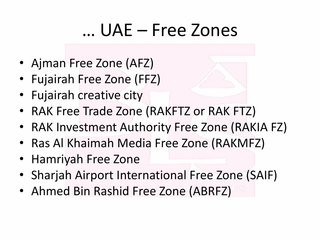#### … UAE – Free Zones

- Ajman Free Zone (AFZ)
- Fujairah Free Zone (FFZ)
- Fujairah creative city
- RAK Free Trade Zone (RAKFTZ or RAK FTZ)
- RAK Investment Authority Free Zone (RAKIA FZ)
- Ras Al Khaimah Media Free Zone (RAKMFZ)
- Hamriyah Free Zone
- Sharjah Airport International Free Zone (SAIF)
- Ahmed Bin Rashid Free Zone (ABRFZ)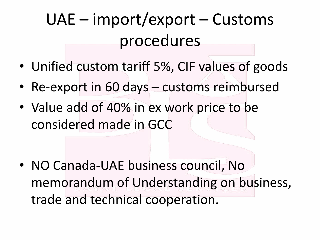#### UAE – import/export – Customs procedures

- Unified custom tariff 5%, CIF values of goods
- Re-export in 60 days customs reimbursed
- Value add of 40% in ex work price to be considered made in GCC

• NO Canada-UAE business council, No memorandum of Understanding on business, trade and technical cooperation.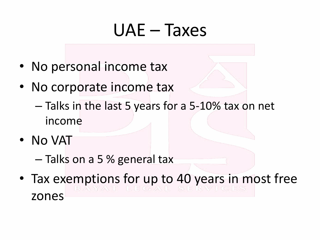#### UAE – Taxes

- No personal income tax
- No corporate income tax
	- Talks in the last 5 years for a 5-10% tax on net income
- No VAT

– Talks on a 5 % general tax

• Tax exemptions for up to 40 years in most free zones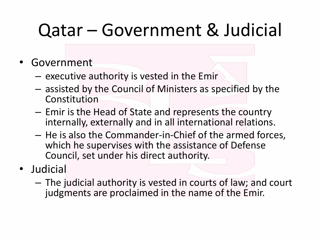### Qatar – Government & Judicial

- **Government** 
	- executive authority is vested in the Emir
	- assisted by the Council of Ministers as specified by the Constitution
	- Emir is the Head of State and represents the country internally, externally and in all international relations.
	- He is also the Commander-in-Chief of the armed forces, which he supervises with the assistance of Defense Council, set under his direct authority.
- Judicial
	- The judicial authority is vested in courts of law; and court judgments are proclaimed in the name of the Emir.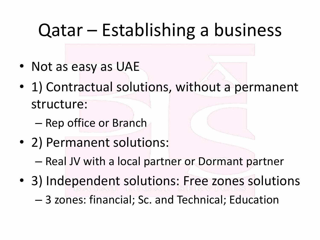#### Qatar – Establishing a business

- Not as easy as UAE
- 1) Contractual solutions, without a permanent structure:
	- Rep office or Branch
- 2) Permanent solutions:
	- Real JV with a local partner or Dormant partner
- 3) Independent solutions: Free zones solutions – 3 zones: financial; Sc. and Technical; Education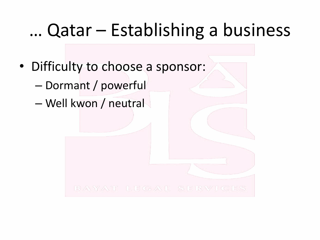#### … Qatar – Establishing a business

- Difficulty to choose a sponsor:
	- Dormant / powerful
	- Well kwon / neutral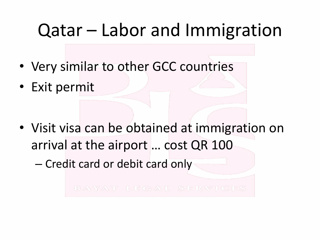#### Qatar – Labor and Immigration

- Very similar to other GCC countries
- Exit permit

• Visit visa can be obtained at immigration on arrival at the airport … cost QR 100

– Credit card or debit card only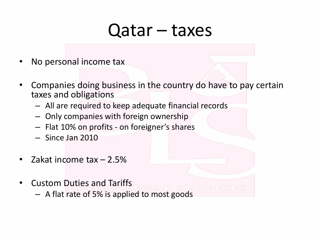#### Qatar – taxes

- No personal income tax
- Companies doing business in the country do have to pay certain taxes and obligations
	- All are required to keep adequate financial records
	- Only companies with foreign ownership
	- Flat 10% on profits on foreigner's shares
	- Since Jan 2010
- Zakat income tax  $-2.5%$
- Custom Duties and Tariffs
	- A flat rate of 5% is applied to most goods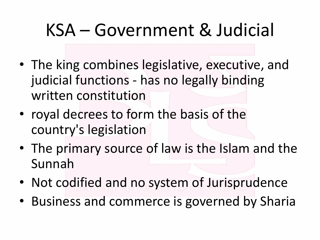### KSA – Government & Judicial

- The king combines legislative, executive, and judicial functions - has no legally binding written constitution
- royal decrees to form the basis of the country's legislation
- The primary source of law is the Islam and the Sunnah
- Not codified and no system of Jurisprudence
- Business and commerce is governed by Sharia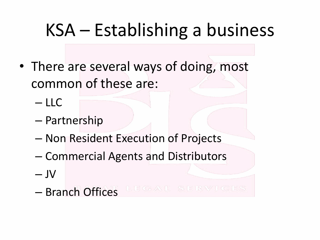#### KSA – Establishing a business

- There are several ways of doing, most common of these are:
	- LLC
	- Partnership
	- Non Resident Execution of Projects
	- Commercial Agents and Distributors
	- $-$  JV
	- Branch Offices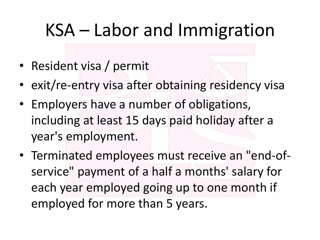#### KSA – Labor and Immigration

- Resident visa / permit
- exit/re-entry visa after obtaining residency visa
- Employers have a number of obligations, including at least 15 days paid holiday after a year's employment.
- Terminated employees must receive an "end-ofservice" payment of a half a months' salary for each year employed going up to one month if employed for more than 5 years.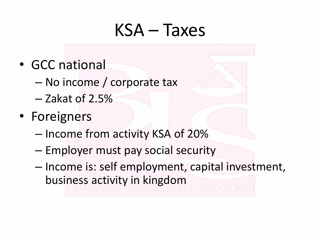#### KSA – Taxes

- GCC national
	- No income / corporate tax
	- Zakat of 2.5%
- Foreigners
	- Income from activity KSA of 20%
	- Employer must pay social security
	- Income is: self employment, capital investment, business activity in kingdom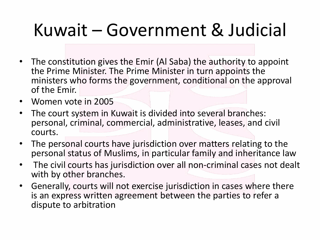### Kuwait – Government & Judicial

- The constitution gives the Emir (Al Saba) the authority to appoint the Prime Minister. The Prime Minister in turn appoints the ministers who forms the government, conditional on the approval of the Emir.
- Women vote in 2005
- The court system in Kuwait is divided into several branches: personal, criminal, commercial, administrative, leases, and civil courts.
- The personal courts have jurisdiction over matters relating to the personal status of Muslims, in particular family and inheritance law
- The civil courts has jurisdiction over all non-criminal cases not dealt with by other branches.
- Generally, courts will not exercise jurisdiction in cases where there is an express written agreement between the parties to refer a dispute to arbitration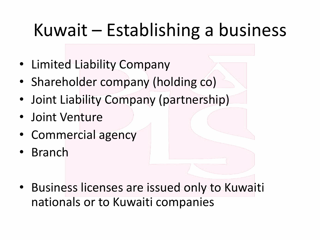### Kuwait – Establishing a business

- Limited Liability Company
- Shareholder company (holding co)
- Joint Liability Company (partnership)
- Joint Venture
- Commercial agency
- Branch
- Business licenses are issued only to Kuwaiti nationals or to Kuwaiti companies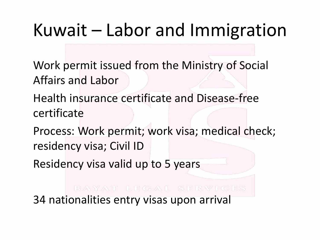#### Kuwait – Labor and Immigration

Work permit issued from the Ministry of Social Affairs and Labor

Health insurance certificate and Disease-free certificate

Process: Work permit; work visa; medical check; residency visa; Civil ID

Residency visa valid up to 5 years

34 nationalities entry visas upon arrival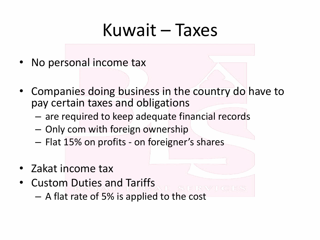#### Kuwait – Taxes

- No personal income tax
- Companies doing business in the country do have to pay certain taxes and obligations
	- are required to keep adequate financial records
	- Only com with foreign ownership
	- Flat 15% on profits on foreigner's shares
- Zakat income tax
- Custom Duties and Tariffs – A flat rate of 5% is applied to the cost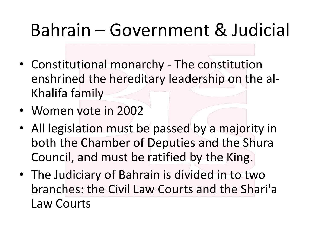#### Bahrain – Government & Judicial

- Constitutional monarchy The constitution enshrined the hereditary leadership on the al-Khalifa family
- Women vote in 2002
- All legislation must be passed by a majority in both the Chamber of Deputies and the Shura Council, and must be ratified by the King.
- The Judiciary of Bahrain is divided in to two branches: the Civil Law Courts and the Shari'a Law Courts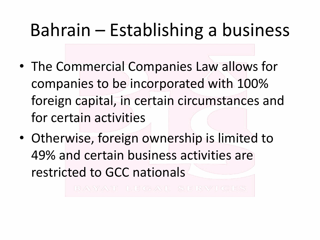#### Bahrain – Establishing a business

- The Commercial Companies Law allows for companies to be incorporated with 100% foreign capital, in certain circumstances and for certain activities
- Otherwise, foreign ownership is limited to 49% and certain business activities are restricted to GCC nationals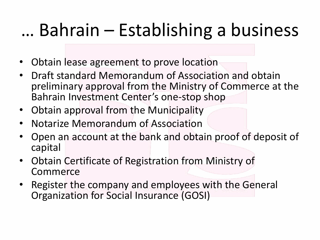### … Bahrain – Establishing a business

- Obtain lease agreement to prove location
- Draft standard Memorandum of Association and obtain preliminary approval from the Ministry of Commerce at the Bahrain Investment Center's one-stop shop
- Obtain approval from the Municipality
- Notarize Memorandum of Association
- Open an account at the bank and obtain proof of deposit of capital
- Obtain Certificate of Registration from Ministry of Commerce
- Register the company and employees with the General Organization for Social Insurance (GOSI)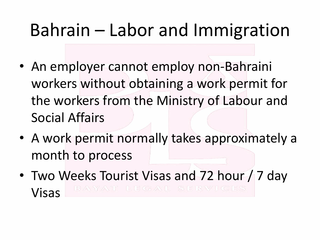#### Bahrain – Labor and Immigration

- An employer cannot employ non-Bahraini workers without obtaining a work permit for the workers from the Ministry of Labour and Social Affairs
- A work permit normally takes approximately a month to process
- Two Weeks Tourist Visas and 72 hour / 7 day Visas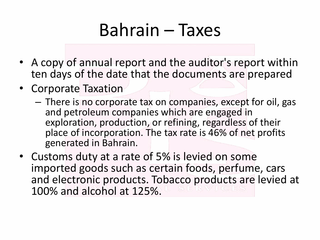#### Bahrain – Taxes

- A copy of annual report and the auditor's report within ten days of the date that the documents are prepared
- Corporate Taxation
	- There is no corporate tax on companies, except for oil, gas and petroleum companies which are engaged in exploration, production, or refining, regardless of their place of incorporation. The tax rate is 46% of net profits generated in Bahrain.
- Customs duty at a rate of 5% is levied on some imported goods such as certain foods, perfume, cars and electronic products. Tobacco products are levied at 100% and alcohol at 125%.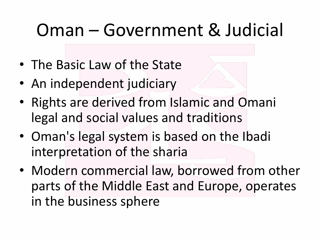#### Oman – Government & Judicial

- The Basic Law of the State
- An independent judiciary
- Rights are derived from Islamic and Omani legal and social values and traditions
- Oman's legal system is based on the Ibadi interpretation of the sharia
- Modern commercial law, borrowed from other parts of the Middle East and Europe, operates in the business sphere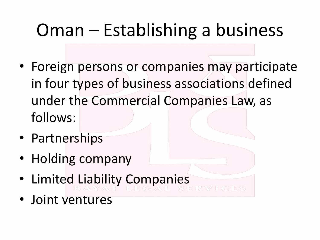### Oman – Establishing a business

- Foreign persons or companies may participate in four types of business associations defined under the Commercial Companies Law, as follows:
- Partnerships
- Holding company
- Limited Liability Companies
- Joint ventures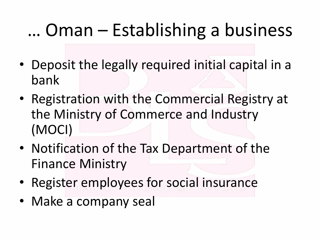### … Oman – Establishing a business

- Deposit the legally required initial capital in a bank
- Registration with the Commercial Registry at the Ministry of Commerce and Industry (MOCI)
- Notification of the Tax Department of the Finance Ministry
- Register employees for social insurance
- Make a company seal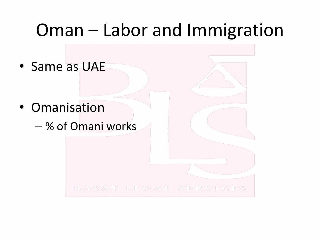#### Oman – Labor and Immigration

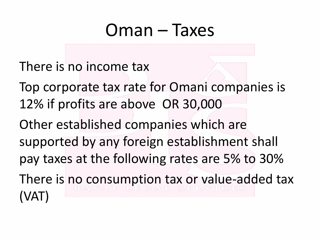#### Oman – Taxes

There is no income tax

Top corporate tax rate for Omani companies is 12% if profits are above OR 30,000 Other established companies which are supported by any foreign establishment shall pay taxes at the following rates are 5% to 30% There is no consumption tax or value-added tax (VAT)